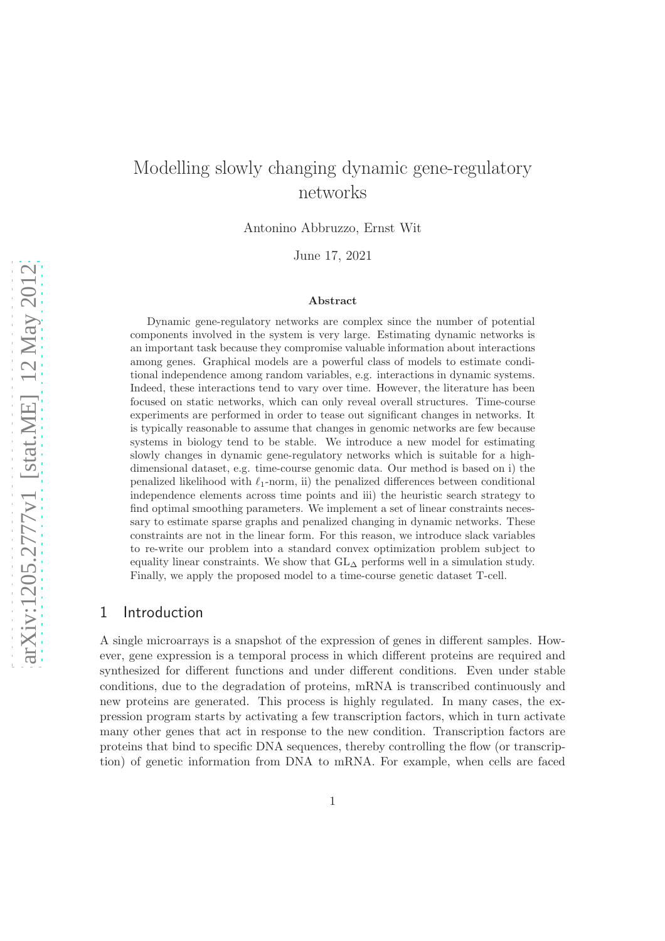# Modelling slowly changing dynamic gene-regulatory networks

Antonino Abbruzzo, Ernst Wit

June 17, 2021

#### Abstract

Dynamic gene-regulatory networks are complex since the number of potential components involved in the system is very large. Estimating dynamic networks is an important task because they compromise valuable information about interactions among genes. Graphical models are a powerful class of models to estimate conditional independence among random variables, e.g. interactions in dynamic systems. Indeed, these interactions tend to vary over time. However, the literature has been focused on static networks, which can only reveal overall structures. Time-course experiments are performed in order to tease out significant changes in networks. It is typically reasonable to assume that changes in genomic networks are few because systems in biology tend to be stable. We introduce a new model for estimating slowly changes in dynamic gene-regulatory networks which is suitable for a highdimensional dataset, e.g. time-course genomic data. Our method is based on i) the penalized likelihood with  $\ell_1$ -norm, ii) the penalized differences between conditional independence elements across time points and iii) the heuristic search strategy to find optimal smoothing parameters. We implement a set of linear constraints necessary to estimate sparse graphs and penalized changing in dynamic networks. These constraints are not in the linear form. For this reason, we introduce slack variables to re-write our problem into a standard convex optimization problem subject to equality linear constraints. We show that  $GL<sub>\Delta</sub>$  performs well in a simulation study. Finally, we apply the proposed model to a time-course genetic dataset T-cell.

## 1 Introduction

A single microarrays is a snapshot of the expression of genes in different samples. However, gene expression is a temporal process in which different proteins are required and synthesized for different functions and under different conditions. Even under stable conditions, due to the degradation of proteins, mRNA is transcribed continuously and new proteins are generated. This process is highly regulated. In many cases, the expression program starts by activating a few transcription factors, which in turn activate many other genes that act in response to the new condition. Transcription factors are proteins that bind to specific DNA sequences, thereby controlling the flow (or transcription) of genetic information from DNA to mRNA. For example, when cells are faced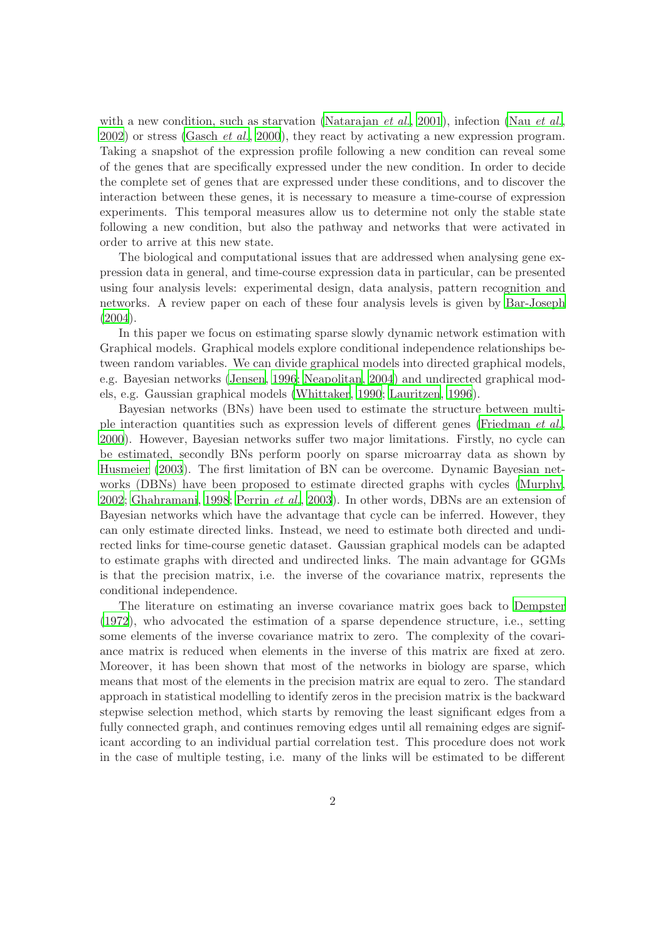with a new condition, such as starvation [\(Natarajan](#page-14-0) *et al.*, [2001](#page-14-0)), infection (Nau *[et al.](#page-14-1)*, [2002](#page-14-1)) or stress [\(Gasch](#page-13-0) *et al.*, [2000](#page-13-0)), they react by activating a new expression program. Taking a snapshot of the expression profile following a new condition can reveal some of the genes that are specifically expressed under the new condition. In order to decide the complete set of genes that are expressed under these conditions, and to discover the interaction between these genes, it is necessary to measure a time-course of expression experiments. This temporal measures allow us to determine not only the stable state following a new condition, but also the pathway and networks that were activated in order to arrive at this new state.

The biological and computational issues that are addressed when analysing gene expression data in general, and time-course expression data in particular, can be presented using four analysis levels: experimental design, data analysis, pattern recognition and networks. A review paper on each of these four analysis levels is given by [Bar-Joseph](#page-13-1) [\(2004](#page-13-1)).

In this paper we focus on estimating sparse slowly dynamic network estimation with Graphical models. Graphical models explore conditional independence relationships between random variables. We can divide graphical models into directed graphical models, e.g. Bayesian networks [\(Jensen](#page-13-2), [1996](#page-13-2); [Neapolitan, 2004](#page-14-2)) and undirected graphical models, e.g. Gaussian graphical models [\(Whittaker](#page-14-3), [1990;](#page-14-3) [Lauritzen](#page-13-3), [1996](#page-13-3)).

Bayesian networks (BNs) have been used to estimate the structure between multiple interaction quantities such as expression levels of different genes [\(Friedman](#page-13-4) *et al.*, [2000](#page-13-4)). However, Bayesian networks suffer two major limitations. Firstly, no cycle can be estimated, secondly BNs perform poorly on sparse microarray data as shown by [Husmeier \(2003\)](#page-13-5). The first limitation of BN can be overcome. Dynamic Bayesian networks (DBNs) have been proposed to estimate directed graphs with cycles [\(Murphy,](#page-14-4) [2002](#page-14-4); [Ghahramani, 1998](#page-13-6); [Perrin](#page-14-5) *et al.*, [2003](#page-14-5)). In other words, DBNs are an extension of Bayesian networks which have the advantage that cycle can be inferred. However, they can only estimate directed links. Instead, we need to estimate both directed and undirected links for time-course genetic dataset. Gaussian graphical models can be adapted to estimate graphs with directed and undirected links. The main advantage for GGMs is that the precision matrix, i.e. the inverse of the covariance matrix, represents the conditional independence.

The literature on estimating an inverse covariance matrix goes back to [Dempster](#page-13-7) [\(1972](#page-13-7)), who advocated the estimation of a sparse dependence structure, i.e., setting some elements of the inverse covariance matrix to zero. The complexity of the covariance matrix is reduced when elements in the inverse of this matrix are fixed at zero. Moreover, it has been shown that most of the networks in biology are sparse, which means that most of the elements in the precision matrix are equal to zero. The standard approach in statistical modelling to identify zeros in the precision matrix is the backward stepwise selection method, which starts by removing the least significant edges from a fully connected graph, and continues removing edges until all remaining edges are significant according to an individual partial correlation test. This procedure does not work in the case of multiple testing, i.e. many of the links will be estimated to be different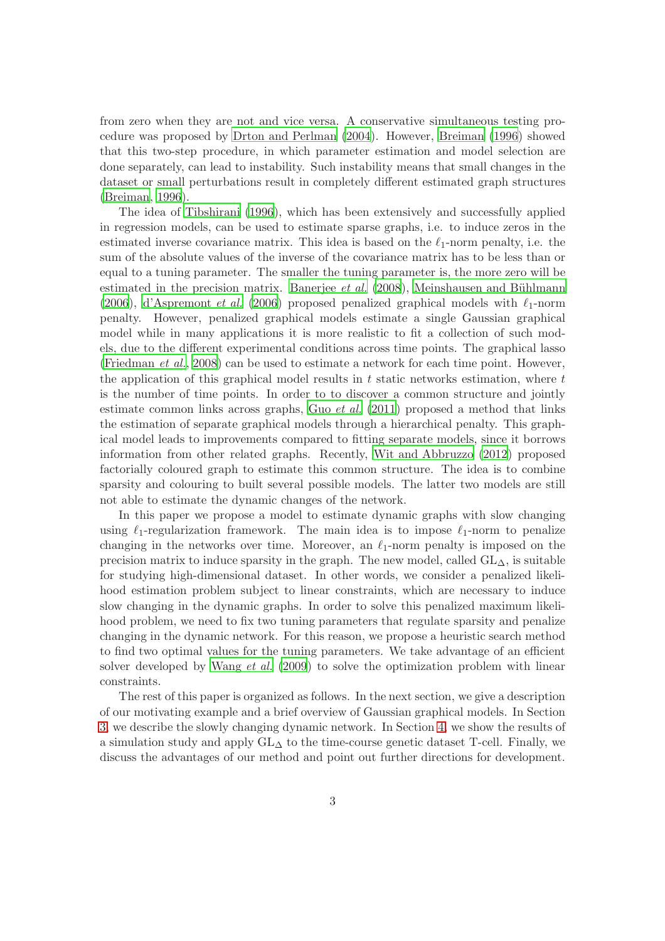from zero when they are not and vice versa. A conservative simultaneous testing procedure was proposed by [Drton and Perlman \(2004](#page-13-8)). However, [Breiman \(1996](#page-13-9)) showed that this two-step procedure, in which parameter estimation and model selection are done separately, can lead to instability. Such instability means that small changes in the dataset or small perturbations result in completely different estimated graph structures [\(Breiman](#page-13-9), [1996](#page-13-9)).

The idea of [Tibshirani \(1996](#page-14-6)), which has been extensively and successfully applied in regression models, can be used to estimate sparse graphs, i.e. to induce zeros in the estimated inverse covariance matrix. This idea is based on the  $\ell_1$ -norm penalty, i.e. the sum of the absolute values of the inverse of the covariance matrix has to be less than or equal to a tuning parameter. The smaller the tuning parameter is, the more zero will be estimated in the precision matrix. [Banerjee](#page-9-0) *et al.* [\(2008](#page-9-0)), Meinshausen and Bühlmann [\(2006](#page-13-10)), [d'Aspremont](#page-13-10) *et al.* (2006) proposed penalized graphical models with  $\ell_1$ -norm penalty. However, penalized graphical models estimate a single Gaussian graphical model while in many applications it is more realistic to fit a collection of such models, due to the different experimental conditions across time points. The graphical lasso [\(Friedman](#page-13-11) *et al.*, [2008](#page-13-11)) can be used to estimate a network for each time point. However, the application of this graphical model results in  $t$  static networks estimation, where  $t$ is the number of time points. In order to to discover a common structure and jointly estimate common links across graphs, Guo *[et al.](#page-13-12)* [\(2011](#page-13-12)) proposed a method that links the estimation of separate graphical models through a hierarchical penalty. This graphical model leads to improvements compared to fitting separate models, since it borrows information from other related graphs. Recently, [Wit and Abbruzzo \(2012](#page-14-8)) proposed factorially coloured graph to estimate this common structure. The idea is to combine sparsity and colouring to built several possible models. The latter two models are still not able to estimate the dynamic changes of the network.

In this paper we propose a model to estimate dynamic graphs with slow changing using  $\ell_1$ -regularization framework. The main idea is to impose  $\ell_1$ -norm to penalize changing in the networks over time. Moreover, an  $\ell_1$ -norm penalty is imposed on the precision matrix to induce sparsity in the graph. The new model, called  $GL_{\Delta}$ , is suitable for studying high-dimensional dataset. In other words, we consider a penalized likelihood estimation problem subject to linear constraints, which are necessary to induce slow changing in the dynamic graphs. In order to solve this penalized maximum likelihood problem, we need to fix two tuning parameters that regulate sparsity and penalize changing in the dynamic network. For this reason, we propose a heuristic search method to find two optimal values for the tuning parameters. We take advantage of an efficient solver developed by [Wang](#page-14-9) *et al.* [\(2009\)](#page-14-9) to solve the optimization problem with linear constraints.

The rest of this paper is organized as follows. In the next section, we give a description of our motivating example and a brief overview of Gaussian graphical models. In Section [3,](#page-4-0) we describe the slowly changing dynamic network. In Section [4,](#page-7-0) we show the results of a simulation study and apply  $GL<sub>\Delta</sub>$  to the time-course genetic dataset T-cell. Finally, we discuss the advantages of our method and point out further directions for development.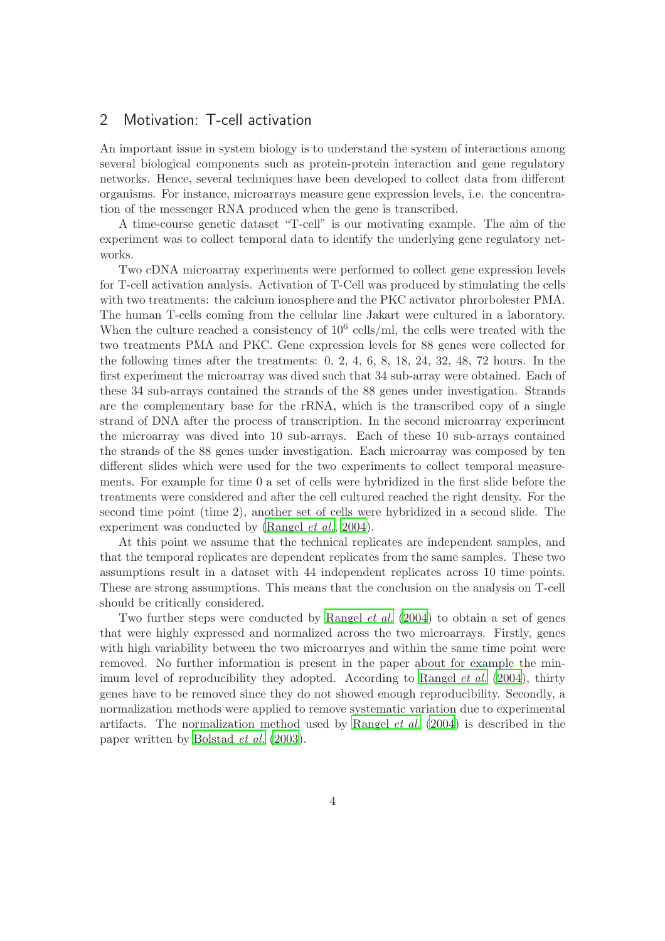## 2 Motivation: T-cell activation

An important issue in system biology is to understand the system of interactions among several biological components such as protein-protein interaction and gene regulatory networks. Hence, several techniques have been developed to collect data from different organisms. For instance, microarrays measure gene expression levels, i.e. the concentration of the messenger RNA produced when the gene is transcribed.

A time-course genetic dataset "T-cell" is our motivating example. The aim of the experiment was to collect temporal data to identify the underlying gene regulatory networks.

Two cDNA microarray experiments were performed to collect gene expression levels for T-cell activation analysis. Activation of T-Cell was produced by stimulating the cells with two treatments: the calcium ionosphere and the PKC activator phrorbolester PMA. The human T-cells coming from the cellular line Jakart were cultured in a laboratory. When the culture reached a consistency of  $10^6$  cells/ml, the cells were treated with the two treatments PMA and PKC. Gene expression levels for 88 genes were collected for the following times after the treatments: 0, 2, 4, 6, 8, 18, 24, 32, 48, 72 hours. In the first experiment the microarray was dived such that 34 sub-array were obtained. Each of these 34 sub-arrays contained the strands of the 88 genes under investigation. Strands are the complementary base for the rRNA, which is the transcribed copy of a single strand of DNA after the process of transcription. In the second microarray experiment the microarray was dived into 10 sub-arrays. Each of these 10 sub-arrays contained the strands of the 88 genes under investigation. Each microarray was composed by ten different slides which were used for the two experiments to collect temporal measurements. For example for time 0 a set of cells were hybridized in the first slide before the treatments were considered and after the cell cultured reached the right density. For the second time point (time 2), another set of cells were hybridized in a second slide. The experiment was conducted by [\(Rangel](#page-14-10) *et al.*, [2004](#page-14-10)).

At this point we assume that the technical replicates are independent samples, and that the temporal replicates are dependent replicates from the same samples. These two assumptions result in a dataset with 44 independent replicates across 10 time points. These are strong assumptions. This means that the conclusion on the analysis on T-cell should be critically considered.

Two further steps were conducted by [Rangel](#page-14-10) *et al.* [\(2004](#page-14-10)) to obtain a set of genes that were highly expressed and normalized across the two microarrays. Firstly, genes with high variability between the two microarryes and within the same time point were removed. No further information is present in the paper about for example the minimum level of reproducibility they adopted. According to [Rangel](#page-14-10) *et al.* [\(2004](#page-14-10)), thirty genes have to be removed since they do not showed enough reproducibility. Secondly, a normalization methods were applied to remove systematic variation due to experimental artifacts. The normalization method used by [Rangel](#page-14-10) *et al.* [\(2004](#page-14-10)) is described in the paper written by [Bolstad](#page-13-13) *et al.* [\(2003](#page-13-13)).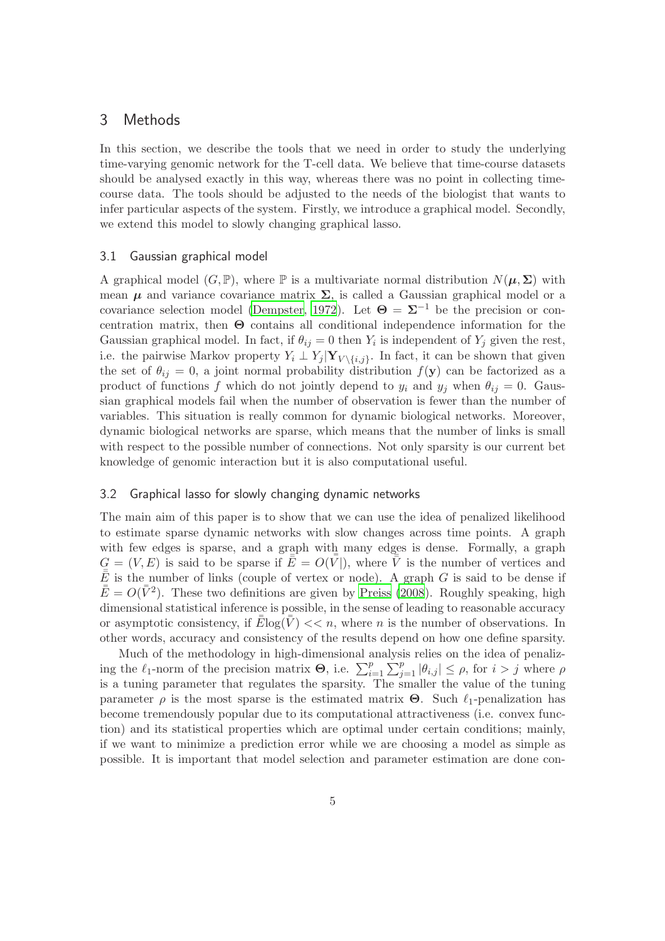## <span id="page-4-0"></span>3 Methods

In this section, we describe the tools that we need in order to study the underlying time-varying genomic network for the T-cell data. We believe that time-course datasets should be analysed exactly in this way, whereas there was no point in collecting timecourse data. The tools should be adjusted to the needs of the biologist that wants to infer particular aspects of the system. Firstly, we introduce a graphical model. Secondly, we extend this model to slowly changing graphical lasso.

#### 3.1 Gaussian graphical model

A graphical model  $(G, \mathbb{P})$ , where  $\mathbb{P}$  is a multivariate normal distribution  $N(\mu, \Sigma)$  with mean  $\mu$  and variance covariance matrix  $\Sigma$ , is called a Gaussian graphical model or a covariance selection model [\(Dempster, 1972](#page-13-7)). Let  $\Theta = \Sigma^{-1}$  be the precision or concentration matrix, then Θ contains all conditional independence information for the Gaussian graphical model. In fact, if  $\theta_{ij} = 0$  then  $Y_i$  is independent of  $Y_j$  given the rest, i.e. the pairwise Markov property  $Y_i \perp Y_j | \mathbf{Y}_{V \setminus \{i,j\}}$ . In fact, it can be shown that given the set of  $\theta_{ij} = 0$ , a joint normal probability distribution  $f(\mathbf{y})$  can be factorized as a product of functions f which do not jointly depend to  $y_i$  and  $y_j$  when  $\theta_{ij} = 0$ . Gaussian graphical models fail when the number of observation is fewer than the number of variables. This situation is really common for dynamic biological networks. Moreover, dynamic biological networks are sparse, which means that the number of links is small with respect to the possible number of connections. Not only sparsity is our current bet knowledge of genomic interaction but it is also computational useful.

### 3.2 Graphical lasso for slowly changing dynamic networks

The main aim of this paper is to show that we can use the idea of penalized likelihood to estimate sparse dynamic networks with slow changes across time points. A graph with few edges is sparse, and a graph with many edges is dense. Formally, a graph  $G = (V, E)$  is said to be sparse if  $\overline{\overline{E}} = O(\overline{V})$ , where  $\overline{\overline{V}}$  is the number of vertices and  $\bar{\bar{E}}$  is the number of links (couple of vertex or node). A graph G is said to be dense if  $\bar{\bar{E}} = O(\bar{\bar{V}}^2)$ . These two definitions are given by [Preiss \(2008](#page-14-11)). Roughly speaking, high dimensional statistical inference is possible, in the sense of leading to reasonable accuracy or asymptotic consistency, if  $\bar{\bar{E}}\log(\bar{\bar{V}}) << n$ , where *n* is the number of observations. In other words, accuracy and consistency of the results depend on how one define sparsity.

Much of the methodology in high-dimensional analysis relies on the idea of penalizing the  $\ell_1$ -norm of the precision matrix **Θ**, i.e.  $\sum_{i=1}^p \sum_{j=1}^p |\theta_{i,j}| \leq \rho$ , for  $i > j$  where  $\rho$ is a tuning parameter that regulates the sparsity. The smaller the value of the tuning parameter  $\rho$  is the most sparse is the estimated matrix **Θ**. Such  $\ell_1$ -penalization has become tremendously popular due to its computational attractiveness (i.e. convex function) and its statistical properties which are optimal under certain conditions; mainly, if we want to minimize a prediction error while we are choosing a model as simple as possible. It is important that model selection and parameter estimation are done con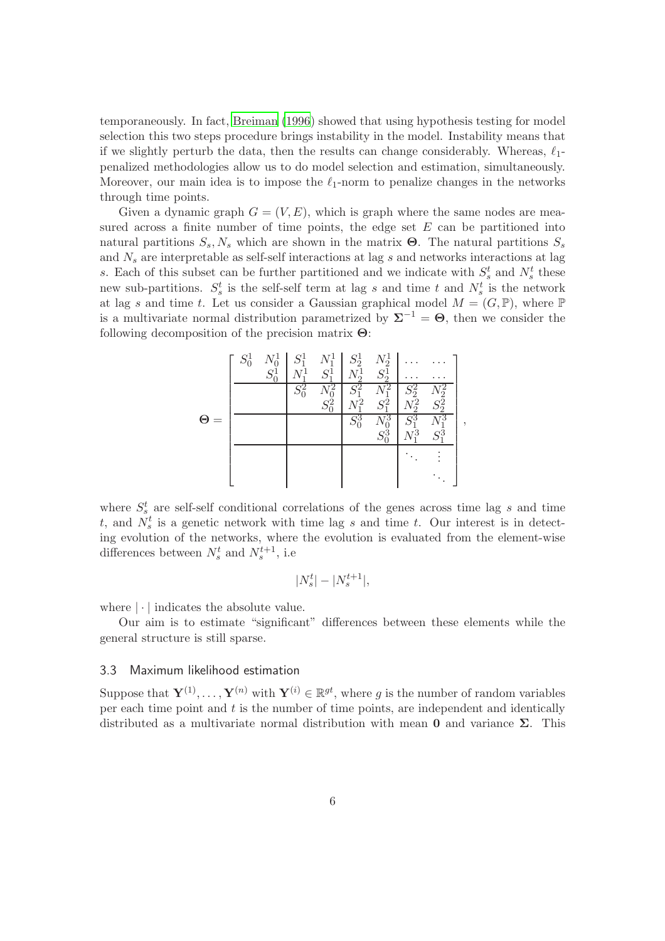temporaneously. In fact, [Breiman \(1996\)](#page-13-9) showed that using hypothesis testing for model selection this two steps procedure brings instability in the model. Instability means that if we slightly perturb the data, then the results can change considerably. Whereas,  $\ell_1$ penalized methodologies allow us to do model selection and estimation, simultaneously. Moreover, our main idea is to impose the  $\ell_1$ -norm to penalize changes in the networks through time points.

Given a dynamic graph  $G = (V, E)$ , which is graph where the same nodes are measured across a finite number of time points, the edge set  $E$  can be partitioned into natural partitions  $S_s$ ,  $N_s$  which are shown in the matrix **Θ**. The natural partitions  $S_s$ and  $N_s$  are interpretable as self-self interactions at lag s and networks interactions at lag s. Each of this subset can be further partitioned and we indicate with  $S_s^t$  and  $N_s^t$  these new sub-partitions.  $S_s^t$  is the self-self term at lag s and time t and  $N_s^t$  is the network at lag s and time t. Let us consider a Gaussian graphical model  $M = (G, \mathbb{P})$ , where  $\mathbb{P}$ is a multivariate normal distribution parametrized by  $\Sigma^{-1} = \Theta$ , then we consider the following decomposition of the precision matrix Θ:



where  $S_s^t$  are self-self conditional correlations of the genes across time lag s and time t, and  $N_s^t$  is a genetic network with time lag s and time t. Our interest is in detecting evolution of the networks, where the evolution is evaluated from the element-wise differences between  $N_s^t$  and  $N_s^{t+1}$ , i.e

$$
|N_s^t| - |N_s^{t+1}|,
$$

where  $|\cdot|$  indicates the absolute value.

Our aim is to estimate "significant" differences between these elements while the general structure is still sparse.

### 3.3 Maximum likelihood estimation

Suppose that  $\mathbf{Y}^{(1)}, \ldots, \mathbf{Y}^{(n)}$  with  $\mathbf{Y}^{(i)} \in \mathbb{R}^{gt}$ , where g is the number of random variables per each time point and  $t$  is the number of time points, are independent and identically distributed as a multivariate normal distribution with mean **0** and variance  $\Sigma$ . This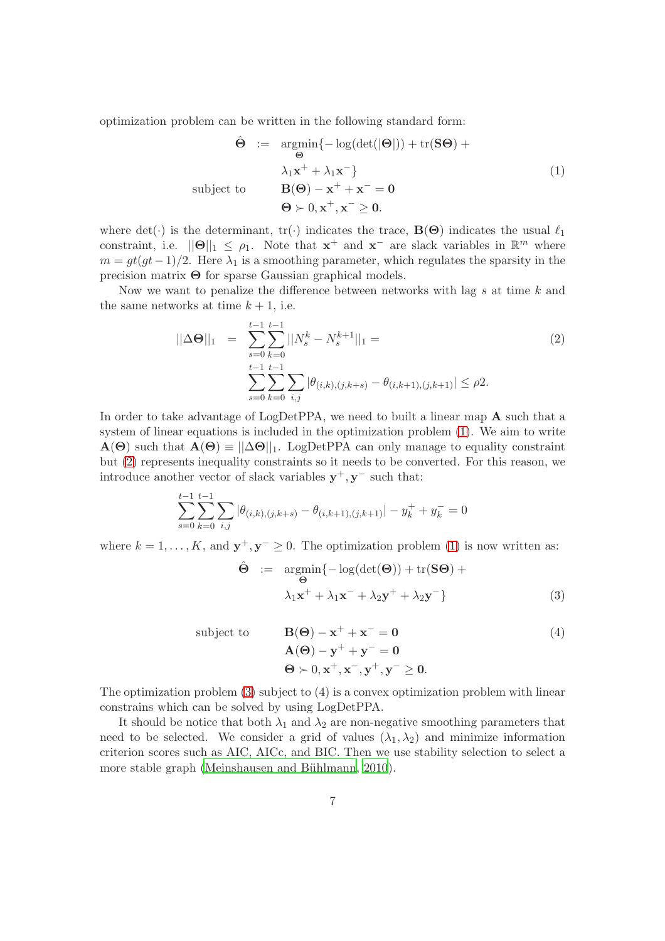optimization problem can be written in the following standard form:

<span id="page-6-0"></span>
$$
\hat{\Theta} := \underset{\Theta}{\operatorname{argmin}} \{-\log(\det(|\Theta|)) + \operatorname{tr}(S\Theta) + \newline \lambda_1 \mathbf{x}^+ + \lambda_1 \mathbf{x}^- \}
$$
\nsubject to\n
$$
\mathbf{B}(\Theta) - \mathbf{x}^+ + \mathbf{x}^- = \mathbf{0}
$$
\n
$$
\Theta \succ 0, \mathbf{x}^+, \mathbf{x}^- \geq \mathbf{0}.
$$
\n(1)

where det(·) is the determinant,  $tr(\cdot)$  indicates the trace,  $\mathbf{B}(\Theta)$  indicates the usual  $\ell_1$ constraint, i.e.  $\|\Theta\|_1 \leq \rho_1$ . Note that  $\mathbf{x}^+$  and  $\mathbf{x}^-$  are slack variables in  $\mathbb{R}^m$  where  $m = gt(gt-1)/2$ . Here  $\lambda_1$  is a smoothing parameter, which regulates the sparsity in the precision matrix Θ for sparse Gaussian graphical models.

Now we want to penalize the difference between networks with lag s at time k and the same networks at time  $k + 1$ , i.e.

<span id="page-6-1"></span>
$$
||\Delta\Theta||_1 = \sum_{s=0}^{t-1} \sum_{k=0}^{t-1} ||N_s^k - N_s^{k+1}||_1 =
$$
  

$$
\sum_{s=0}^{t-1} \sum_{k=0}^{t-1} \sum_{i,j} |\theta_{(i,k),(j,k+s)} - \theta_{(i,k+1),(j,k+1)}| \le \rho 2.
$$
 (2)

In order to take advantage of LogDetPPA, we need to built a linear map A such that a system of linear equations is included in the optimization problem [\(1\)](#page-6-0). We aim to write  $A(\Theta)$  such that  $A(\Theta) \equiv ||\Delta \Theta||_1$ . LogDetPPA can only manage to equality constraint but [\(2\)](#page-6-1) represents inequality constraints so it needs to be converted. For this reason, we introduce another vector of slack variables  $y^+, y^-$  such that:

$$
\sum_{s=0}^{t-1} \sum_{k=0}^{t-1} \sum_{i,j} |\theta_{(i,k),(j,k+s)} - \theta_{(i,k+1),(j,k+1)}| - y_k^+ + y_k^- = 0
$$

where  $k = 1, ..., K$ , and  $y^+, y^- \geq 0$ . The optimization problem [\(1\)](#page-6-0) is now written as:

<span id="page-6-2"></span>
$$
\hat{\Theta} := \underset{\Theta}{\text{argmin}} \{-\log(\det(\Theta)) + \text{tr}(\mathbf{S}\Theta) + \newline \lambda_1 \mathbf{x}^+ + \lambda_1 \mathbf{x}^- + \lambda_2 \mathbf{y}^+ + \lambda_2 \mathbf{y}^- \}
$$
\n(3)

subject to  $\mathbf{B}(\Theta) - \mathbf{x}^+ + \mathbf{x}^- = \mathbf{0}$  (4)  $\mathbf{A}(\boldsymbol{\Theta}) - \mathbf{y}^+ + \mathbf{y}^- = \mathbf{0}$  $\Theta \succ 0, \mathbf{x}^+, \mathbf{x}^-, \mathbf{y}^+, \mathbf{y}^- \geq 0.$ 

The optimization problem [\(3\)](#page-6-2) subject to (4) is a convex optimization problem with linear constrains which can be solved by using LogDetPPA.

It should be notice that both  $\lambda_1$  and  $\lambda_2$  are non-negative smoothing parameters that need to be selected. We consider a grid of values  $(\lambda_1, \lambda_2)$  and minimize information criterion scores such as AIC, AICc, and BIC. Then we use stability selection to select a more stable graph (Meinshausen and Bühlmann, 2010).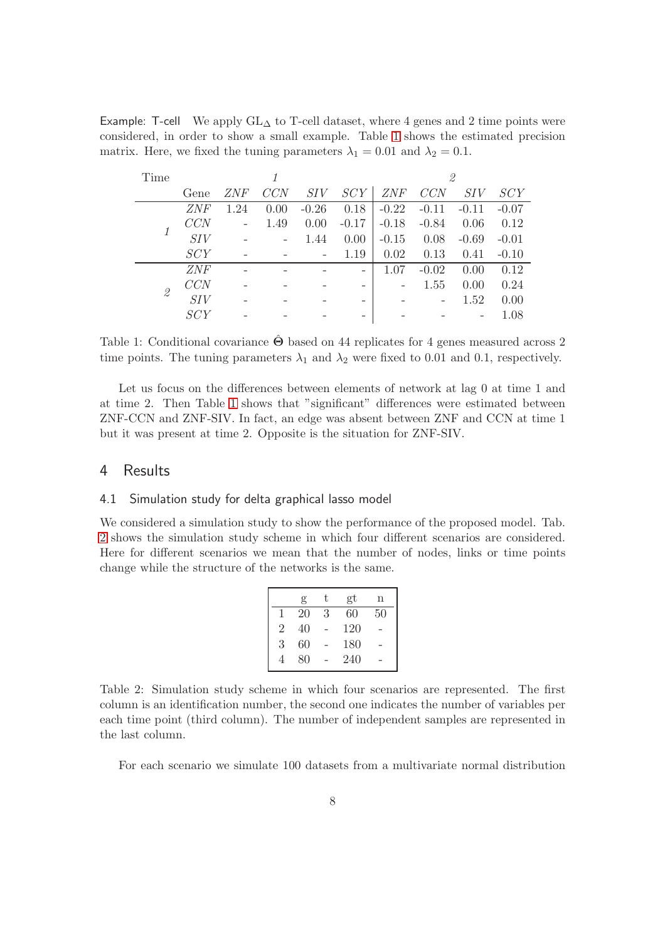<span id="page-7-1"></span>Example: T-cell We apply  $GL_{\Delta}$  to T-cell dataset, where 4 genes and 2 time points were considered, in order to show a small example. Table [1](#page-7-1) shows the estimated precision matrix. Here, we fixed the tuning parameters  $\lambda_1 = 0.01$  and  $\lambda_2 = 0.1$ .

| Time          |            |            |      |         | 2                        |         |         |         |         |
|---------------|------------|------------|------|---------|--------------------------|---------|---------|---------|---------|
|               | Gene       | <i>ZNF</i> | CCN  | SIV     | SCY                      | ZNF     | CCN     | SIV     | SCY     |
|               | <i>ZNF</i> | $1.24\,$   | 0.00 | $-0.26$ | 0.18                     | $-0.22$ | $-0.11$ | $-0.11$ | $-0.07$ |
|               | CCN        |            | 1.49 | 0.00    | $-0.17$                  | $-0.18$ | $-0.84$ | 0.06    | 0.12    |
|               | SIV        |            |      | 1.44    | 0.00                     | $-0.15$ | 0.08    | $-0.69$ | $-0.01$ |
|               | SCY        |            |      | -       | 1.19                     | 0.02    | 0.13    | 0.41    | $-0.10$ |
|               | <i>ZNF</i> |            |      |         | $\overline{\phantom{0}}$ | 1.07    | $-0.02$ | 0.00    | 0.12    |
|               | CCN        |            |      |         |                          |         | 1.55    | 0.00    | 0.24    |
| $\mathscr{Q}$ | SIV        |            |      |         |                          |         |         | 1.52    | 0.00    |
|               | SCY        |            |      |         |                          |         |         |         | 1.08    |

Table 1: Conditional covariance  $\hat{\Theta}$  based on 44 replicates for 4 genes measured across 2 time points. The tuning parameters  $\lambda_1$  and  $\lambda_2$  were fixed to 0.01 and 0.1, respectively.

Let us focus on the differences between elements of network at lag 0 at time 1 and at time 2. Then Table [1](#page-7-1) shows that "significant" differences were estimated between ZNF-CCN and ZNF-SIV. In fact, an edge was absent between ZNF and CCN at time 1 but it was present at time 2. Opposite is the situation for ZNF-SIV.

## <span id="page-7-0"></span>4 Results

### 4.1 Simulation study for delta graphical lasso model

<span id="page-7-2"></span>We considered a simulation study to show the performance of the proposed model. Tab. [2](#page-7-2) shows the simulation study scheme in which four different scenarios are considered. Here for different scenarios we mean that the number of nodes, links or time points change while the structure of the networks is the same.

|                | g  | t. | gt  | n  |
|----------------|----|----|-----|----|
| 1              | 20 | 3  | 60  | 50 |
| $\overline{2}$ | 40 |    | 120 |    |
| 3              | 60 |    | 180 |    |
| 4              | 80 |    | 240 |    |

Table 2: Simulation study scheme in which four scenarios are represented. The first column is an identification number, the second one indicates the number of variables per each time point (third column). The number of independent samples are represented in the last column.

For each scenario we simulate 100 datasets from a multivariate normal distribution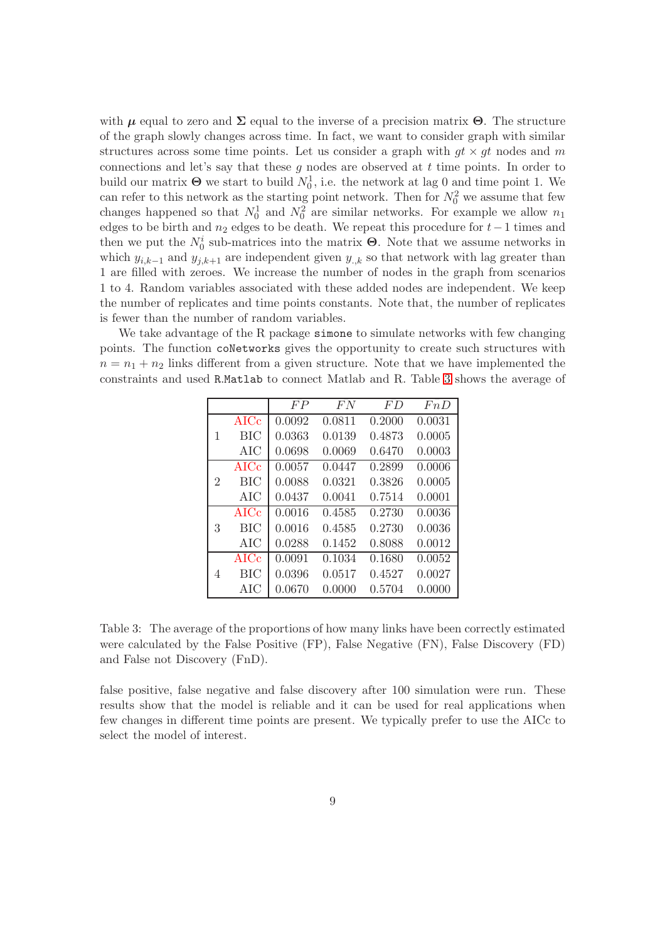with  $\mu$  equal to zero and  $\Sigma$  equal to the inverse of a precision matrix  $\Theta$ . The structure of the graph slowly changes across time. In fact, we want to consider graph with similar structures across some time points. Let us consider a graph with  $qt \times qt$  nodes and m connections and let's say that these  $g$  nodes are observed at  $t$  time points. In order to build our matrix  $\Theta$  we start to build  $N_0^1$ , i.e. the network at lag 0 and time point 1. We can refer to this network as the starting point network. Then for  $N_0^2$  we assume that few changes happened so that  $N_0^1$  and  $N_0^2$  are similar networks. For example we allow  $n_1$ edges to be birth and  $n_2$  edges to be death. We repeat this procedure for  $t-1$  times and then we put the  $N_0^i$  sub-matrices into the matrix **Θ**. Note that we assume networks in which  $y_{i,k-1}$  and  $y_{j,k+1}$  are independent given  $y_{i,k}$  so that network with lag greater than 1 are filled with zeroes. We increase the number of nodes in the graph from scenarios 1 to 4. Random variables associated with these added nodes are independent. We keep the number of replicates and time points constants. Note that, the number of replicates is fewer than the number of random variables.

<span id="page-8-0"></span>We take advantage of the R package simone to simulate networks with few changing points. The function coNetworks gives the opportunity to create such structures with  $n = n_1 + n_2$  links different from a given structure. Note that we have implemented the constraints and used R.Matlab to connect Matlab and R. Table [3](#page-8-0) shows the average of

|   |             | FP     | FN     | FD     | FnD    |
|---|-------------|--------|--------|--------|--------|
|   | <b>AICc</b> | 0.0092 | 0.0811 | 0.2000 | 0.0031 |
| 1 | BIC         | 0.0363 | 0.0139 | 0.4873 | 0.0005 |
|   | AIC         | 0.0698 | 0.0069 | 0.6470 | 0.0003 |
|   | <b>AICc</b> | 0.0057 | 0.0447 | 0.2899 | 0.0006 |
| 2 | <b>BIC</b>  | 0.0088 | 0.0321 | 0.3826 | 0.0005 |
|   | AIC         | 0.0437 | 0.0041 | 0.7514 | 0.0001 |
|   | $\rm AICc$  | 0.0016 | 0.4585 | 0.2730 | 0.0036 |
| 3 | <b>BIC</b>  | 0.0016 | 0.4585 | 0.2730 | 0.0036 |
|   | AIC         | 0.0288 | 0.1452 | 0.8088 | 0.0012 |
|   | <b>AICc</b> | 0.0091 | 0.1034 | 0.1680 | 0.0052 |
| 4 | BIC         | 0.0396 | 0.0517 | 0.4527 | 0.0027 |
|   | AIC         | 0.0670 | 0.0000 | 0.5704 | 0.0000 |

Table 3: The average of the proportions of how many links have been correctly estimated were calculated by the False Positive (FP), False Negative (FN), False Discovery (FD) and False not Discovery (FnD).

false positive, false negative and false discovery after 100 simulation were run. These results show that the model is reliable and it can be used for real applications when few changes in different time points are present. We typically prefer to use the AICc to select the model of interest.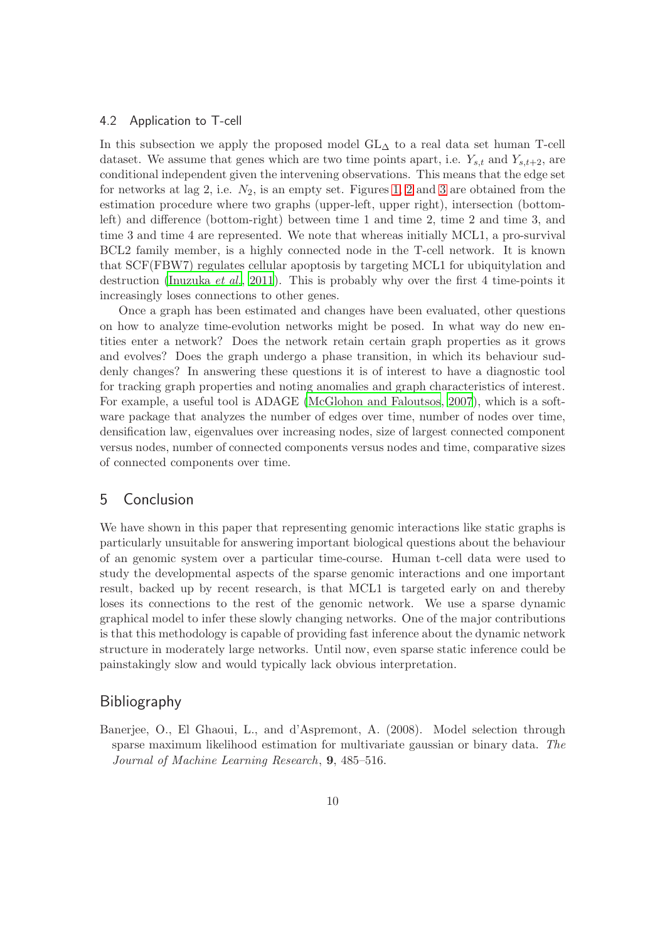#### 4.2 Application to T-cell

In this subsection we apply the proposed model GL<sup>∆</sup> to a real data set human T-cell dataset. We assume that genes which are two time points apart, i.e.  $Y_{s,t}$  and  $Y_{s,t+2}$ , are conditional independent given the intervening observations. This means that the edge set for networks at lag [2](#page-11-0), i.e.  $N_2$ , is an empty set. Figures [1,](#page-10-0) 2 and [3](#page-12-0) are obtained from the estimation procedure where two graphs (upper-left, upper right), intersection (bottomleft) and difference (bottom-right) between time 1 and time 2, time 2 and time 3, and time 3 and time 4 are represented. We note that whereas initially MCL1, a pro-survival BCL2 family member, is a highly connected node in the T-cell network. It is known that SCF(FBW7) regulates cellular apoptosis by targeting MCL1 for ubiquitylation and destruction [\(Inuzuka](#page-13-14) *et al.*, [2011](#page-13-14)). This is probably why over the first 4 time-points it increasingly loses connections to other genes.

Once a graph has been estimated and changes have been evaluated, other questions on how to analyze time-evolution networks might be posed. In what way do new entities enter a network? Does the network retain certain graph properties as it grows and evolves? Does the graph undergo a phase transition, in which its behaviour suddenly changes? In answering these questions it is of interest to have a diagnostic tool for tracking graph properties and noting anomalies and graph characteristics of interest. For example, a useful tool is ADAGE [\(McGlohon and Faloutsos](#page-13-15), [2007\)](#page-13-15), which is a software package that analyzes the number of edges over time, number of nodes over time, densification law, eigenvalues over increasing nodes, size of largest connected component versus nodes, number of connected components versus nodes and time, comparative sizes of connected components over time.

## 5 Conclusion

We have shown in this paper that representing genomic interactions like static graphs is particularly unsuitable for answering important biological questions about the behaviour of an genomic system over a particular time-course. Human t-cell data were used to study the developmental aspects of the sparse genomic interactions and one important result, backed up by recent research, is that MCL1 is targeted early on and thereby loses its connections to the rest of the genomic network. We use a sparse dynamic graphical model to infer these slowly changing networks. One of the major contributions is that this methodology is capable of providing fast inference about the dynamic network structure in moderately large networks. Until now, even sparse static inference could be painstakingly slow and would typically lack obvious interpretation.

## **Bibliography**

<span id="page-9-0"></span>Banerjee, O., El Ghaoui, L., and d'Aspremont, A. (2008). Model selection through sparse maximum likelihood estimation for multivariate gaussian or binary data. *The Journal of Machine Learning Research*, 9, 485–516.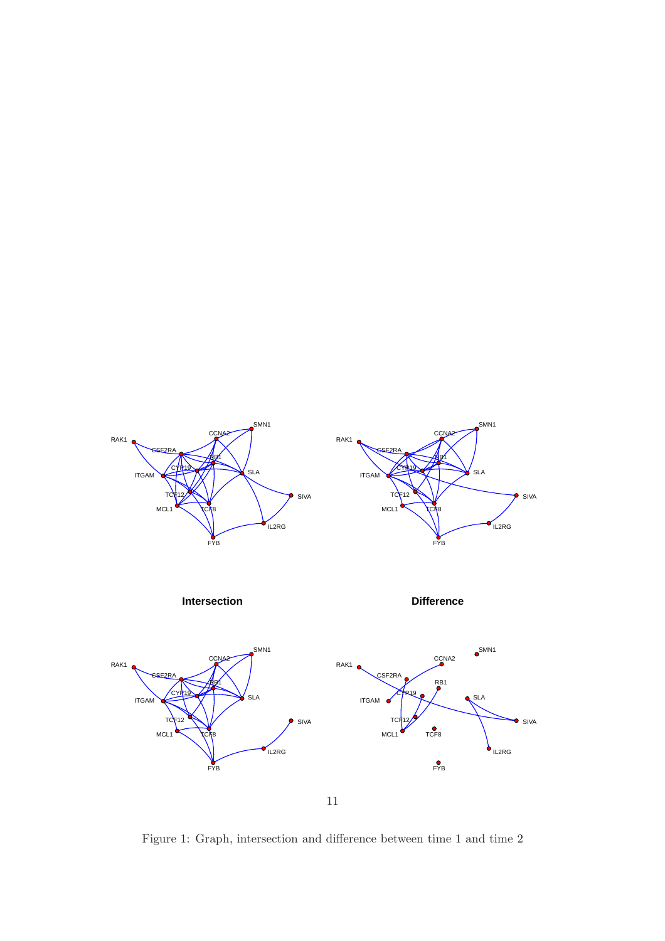<span id="page-10-0"></span>

Figure 1: Graph, intersection and difference between time 1 and time 2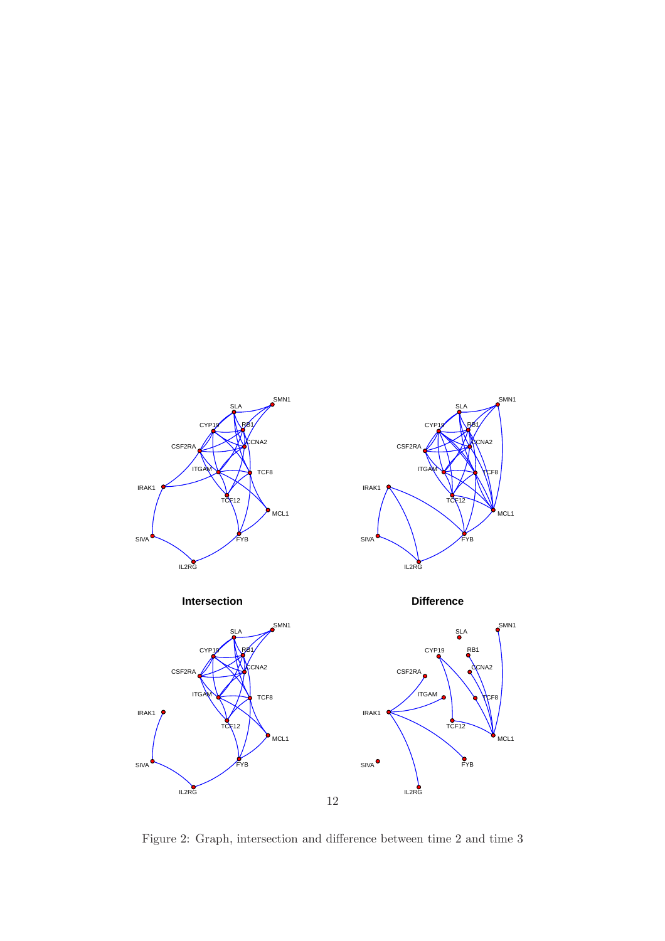<span id="page-11-0"></span>

Figure 2: Graph, intersection and difference between time 2 and time 3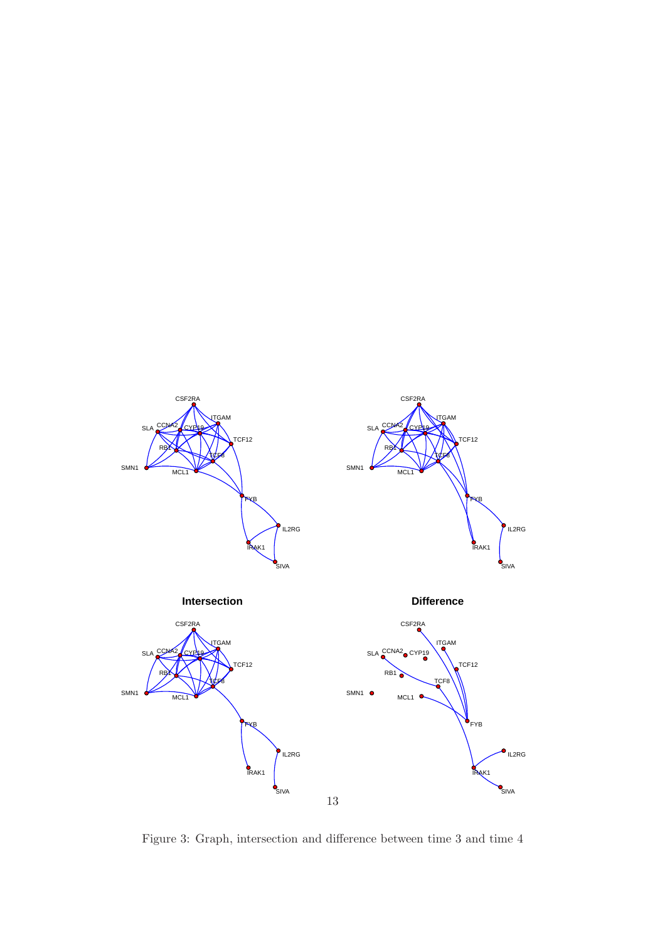<span id="page-12-0"></span>

Figure 3: Graph, intersection and difference between time 3 and time 4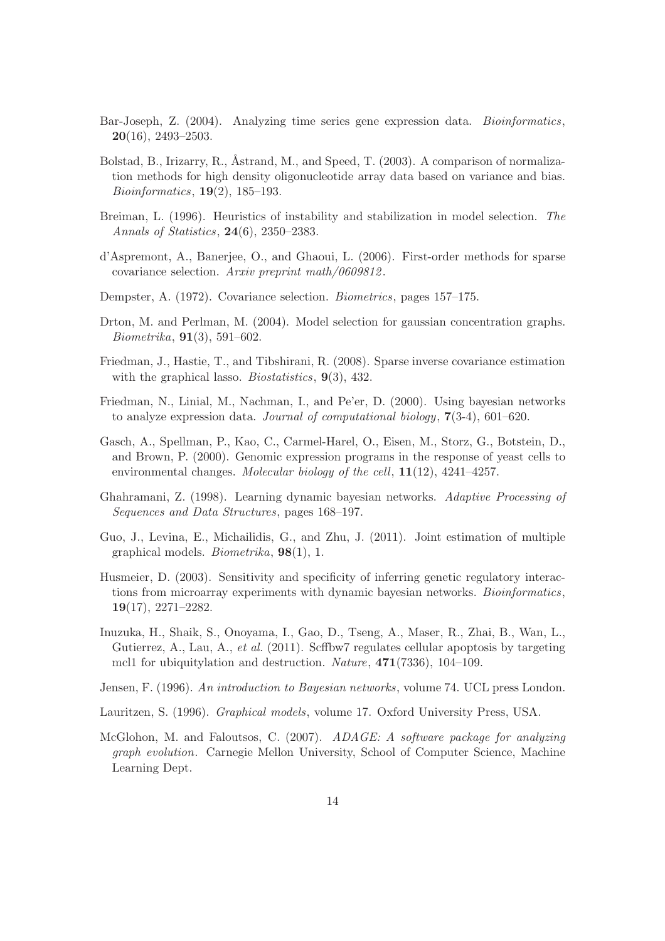- <span id="page-13-1"></span>Bar-Joseph, Z. (2004). Analyzing time series gene expression data. *Bioinformatics*,  $20(16)$ , 2493-2503.
- <span id="page-13-13"></span>Bolstad, B., Irizarry, R., Åstrand, M., and Speed, T.  $(2003)$ . A comparison of normalization methods for high density oligonucleotide array data based on variance and bias. *Bioinformatics*, 19(2), 185–193.
- <span id="page-13-9"></span>Breiman, L. (1996). Heuristics of instability and stabilization in model selection. *The Annals of Statistics*, 24(6), 2350–2383.
- <span id="page-13-10"></span>d'Aspremont, A., Banerjee, O., and Ghaoui, L. (2006). First-order methods for sparse covariance selection. *Arxiv preprint math/0609812*.
- <span id="page-13-7"></span>Dempster, A. (1972). Covariance selection. *Biometrics*, pages 157–175.
- <span id="page-13-8"></span>Drton, M. and Perlman, M. (2004). Model selection for gaussian concentration graphs. *Biometrika*, 91(3), 591–602.
- <span id="page-13-11"></span>Friedman, J., Hastie, T., and Tibshirani, R. (2008). Sparse inverse covariance estimation with the graphical lasso. *Biostatistics*, 9(3), 432.
- <span id="page-13-4"></span>Friedman, N., Linial, M., Nachman, I., and Pe'er, D. (2000). Using bayesian networks to analyze expression data. *Journal of computational biology*, 7(3-4), 601–620.
- <span id="page-13-0"></span>Gasch, A., Spellman, P., Kao, C., Carmel-Harel, O., Eisen, M., Storz, G., Botstein, D., and Brown, P. (2000). Genomic expression programs in the response of yeast cells to environmental changes. *Molecular biology of the cell*, 11(12), 4241–4257.
- <span id="page-13-6"></span>Ghahramani, Z. (1998). Learning dynamic bayesian networks. *Adaptive Processing of Sequences and Data Structures*, pages 168–197.
- <span id="page-13-12"></span>Guo, J., Levina, E., Michailidis, G., and Zhu, J. (2011). Joint estimation of multiple graphical models. *Biometrika*, 98(1), 1.
- <span id="page-13-5"></span>Husmeier, D. (2003). Sensitivity and specificity of inferring genetic regulatory interactions from microarray experiments with dynamic bayesian networks. *Bioinformatics*, 19(17), 2271–2282.
- <span id="page-13-14"></span>Inuzuka, H., Shaik, S., Onoyama, I., Gao, D., Tseng, A., Maser, R., Zhai, B., Wan, L., Gutierrez, A., Lau, A., *et al.* (2011). Scffbw7 regulates cellular apoptosis by targeting mcl1 for ubiquitylation and destruction. *Nature*, 471(7336), 104–109.
- <span id="page-13-2"></span>Jensen, F. (1996). *An introduction to Bayesian networks*, volume 74. UCL press London.
- <span id="page-13-3"></span>Lauritzen, S. (1996). *Graphical models*, volume 17. Oxford University Press, USA.
- <span id="page-13-15"></span>McGlohon, M. and Faloutsos, C. (2007). *ADAGE: A software package for analyzing graph evolution*. Carnegie Mellon University, School of Computer Science, Machine Learning Dept.